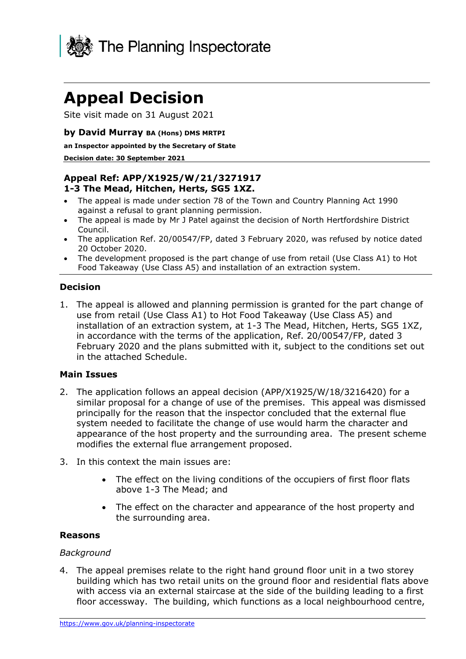

# **Appeal Decision**

Site visit made on 31 August 2021

#### **by David Murray BA (Hons) DMS MRTPI**

#### **an Inspector appointed by the Secretary of State**

#### **Decision date: 30 September 2021**

# **Appeal Ref: APP/X1925/W/21/3271917 1-3 The Mead, Hitchen, Herts, SG5 1XZ.**

- The appeal is made under section 78 of the Town and Country Planning Act 1990 against a refusal to grant planning permission.
- The appeal is made by Mr J Patel against the decision of North Hertfordshire District Council.
- The application Ref. 20/00547/FP, dated 3 February 2020, was refused by notice dated 20 October 2020.
- The development proposed is the part change of use from retail (Use Class A1) to Hot Food Takeaway (Use Class A5) and installation of an extraction system.

## **Decision**

1. The appeal is allowed and planning permission is granted for the part change of use from retail (Use Class A1) to Hot Food Takeaway (Use Class A5) and installation of an extraction system, at 1-3 The Mead, Hitchen, Herts, SG5 1XZ, in accordance with the terms of the application, Ref. 20/00547/FP, dated 3 February 2020 and the plans submitted with it, subject to the conditions set out in the attached Schedule.

#### **Main Issues**

- 2. The application follows an appeal decision (APP/X1925/W/18/3216420) for a similar proposal for a change of use of the premises. This appeal was dismissed principally for the reason that the inspector concluded that the external flue system needed to facilitate the change of use would harm the character and appearance of the host property and the surrounding area. The present scheme modifies the external flue arrangement proposed.
- 3. In this context the main issues are:
	- The effect on the living conditions of the occupiers of first floor flats above 1-3 The Mead; and
	- The effect on the character and appearance of the host property and the surrounding area.

#### **Reasons**

#### *Background*

4. The appeal premises relate to the right hand ground floor unit in a two storey building which has two retail units on the ground floor and residential flats above with access via an external staircase at the side of the building leading to a first floor accessway. The building, which functions as a local neighbourhood centre,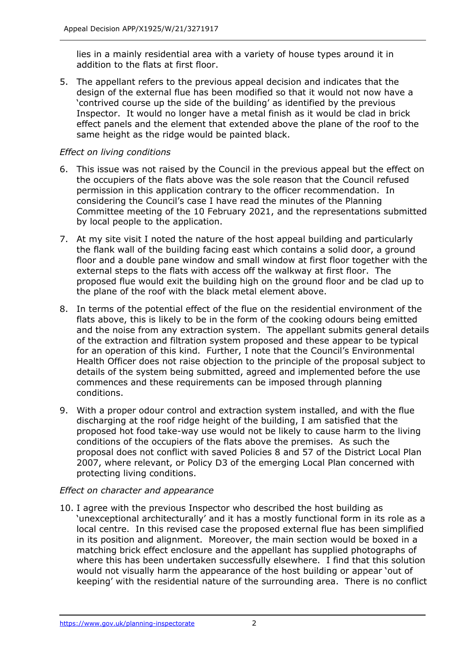lies in a mainly residential area with a variety of house types around it in addition to the flats at first floor.

5. The appellant refers to the previous appeal decision and indicates that the design of the external flue has been modified so that it would not now have a 'contrived course up the side of the building' as identified by the previous Inspector. It would no longer have a metal finish as it would be clad in brick effect panels and the element that extended above the plane of the roof to the same height as the ridge would be painted black.

## *Effect on living conditions*

- 6. This issue was not raised by the Council in the previous appeal but the effect on the occupiers of the flats above was the sole reason that the Council refused permission in this application contrary to the officer recommendation. In considering the Council's case I have read the minutes of the Planning Committee meeting of the 10 February 2021, and the representations submitted by local people to the application.
- 7. At my site visit I noted the nature of the host appeal building and particularly the flank wall of the building facing east which contains a solid door, a ground floor and a double pane window and small window at first floor together with the external steps to the flats with access off the walkway at first floor. The proposed flue would exit the building high on the ground floor and be clad up to the plane of the roof with the black metal element above.
- 8. In terms of the potential effect of the flue on the residential environment of the flats above, this is likely to be in the form of the cooking odours being emitted and the noise from any extraction system. The appellant submits general details of the extraction and filtration system proposed and these appear to be typical for an operation of this kind. Further, I note that the Council's Environmental Health Officer does not raise objection to the principle of the proposal subject to details of the system being submitted, agreed and implemented before the use commences and these requirements can be imposed through planning conditions.
- 9. With a proper odour control and extraction system installed, and with the flue discharging at the roof ridge height of the building, I am satisfied that the proposed hot food take-way use would not be likely to cause harm to the living conditions of the occupiers of the flats above the premises. As such the proposal does not conflict with saved Policies 8 and 57 of the District Local Plan 2007, where relevant, or Policy D3 of the emerging Local Plan concerned with protecting living conditions.

## *Effect on character and appearance*

10. I agree with the previous Inspector who described the host building as 'unexceptional architecturally' and it has a mostly functional form in its role as a local centre. In this revised case the proposed external flue has been simplified in its position and alignment. Moreover, the main section would be boxed in a matching brick effect enclosure and the appellant has supplied photographs of where this has been undertaken successfully elsewhere. I find that this solution would not visually harm the appearance of the host building or appear 'out of keeping' with the residential nature of the surrounding area. There is no conflict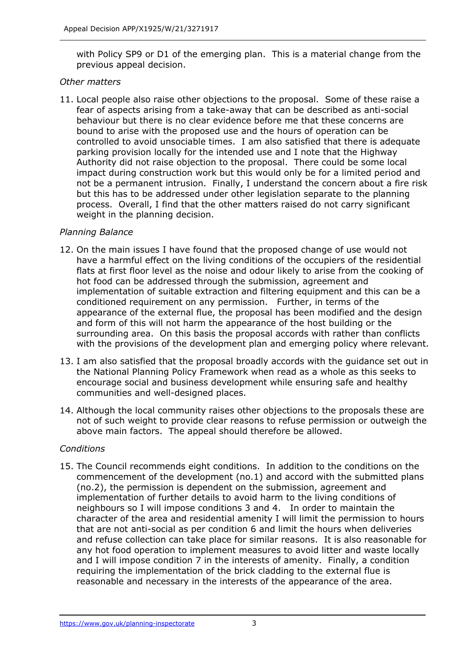with Policy SP9 or D1 of the emerging plan. This is a material change from the previous appeal decision.

## *Other matters*

11. Local people also raise other objections to the proposal. Some of these raise a fear of aspects arising from a take-away that can be described as anti-social behaviour but there is no clear evidence before me that these concerns are bound to arise with the proposed use and the hours of operation can be controlled to avoid unsociable times. I am also satisfied that there is adequate parking provision locally for the intended use and I note that the Highway Authority did not raise objection to the proposal. There could be some local impact during construction work but this would only be for a limited period and not be a permanent intrusion. Finally, I understand the concern about a fire risk but this has to be addressed under other legislation separate to the planning process. Overall, I find that the other matters raised do not carry significant weight in the planning decision.

## *Planning Balance*

- 12. On the main issues I have found that the proposed change of use would not have a harmful effect on the living conditions of the occupiers of the residential flats at first floor level as the noise and odour likely to arise from the cooking of hot food can be addressed through the submission, agreement and implementation of suitable extraction and filtering equipment and this can be a conditioned requirement on any permission. Further, in terms of the appearance of the external flue, the proposal has been modified and the design and form of this will not harm the appearance of the host building or the surrounding area. On this basis the proposal accords with rather than conflicts with the provisions of the development plan and emerging policy where relevant.
- 13. I am also satisfied that the proposal broadly accords with the guidance set out in the National Planning Policy Framework when read as a whole as this seeks to encourage social and business development while ensuring safe and healthy communities and well-designed places.
- 14. Although the local community raises other objections to the proposals these are not of such weight to provide clear reasons to refuse permission or outweigh the above main factors. The appeal should therefore be allowed.

# *Conditions*

15. The Council recommends eight conditions. In addition to the conditions on the commencement of the development (no.1) and accord with the submitted plans (no.2), the permission is dependent on the submission, agreement and implementation of further details to avoid harm to the living conditions of neighbours so I will impose conditions 3 and 4. In order to maintain the character of the area and residential amenity I will limit the permission to hours that are not anti-social as per condition 6 and limit the hours when deliveries and refuse collection can take place for similar reasons. It is also reasonable for any hot food operation to implement measures to avoid litter and waste locally and I will impose condition 7 in the interests of amenity. Finally, a condition requiring the implementation of the brick cladding to the external flue is reasonable and necessary in the interests of the appearance of the area.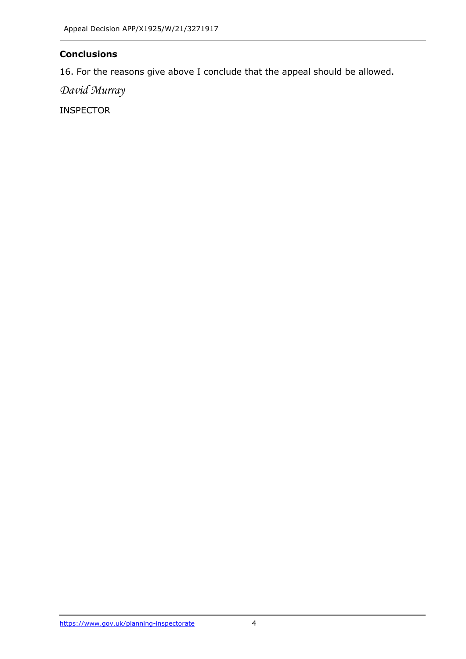# **Conclusions**

16. For the reasons give above I conclude that the appeal should be allowed.

*David Murray*

INSPECTOR